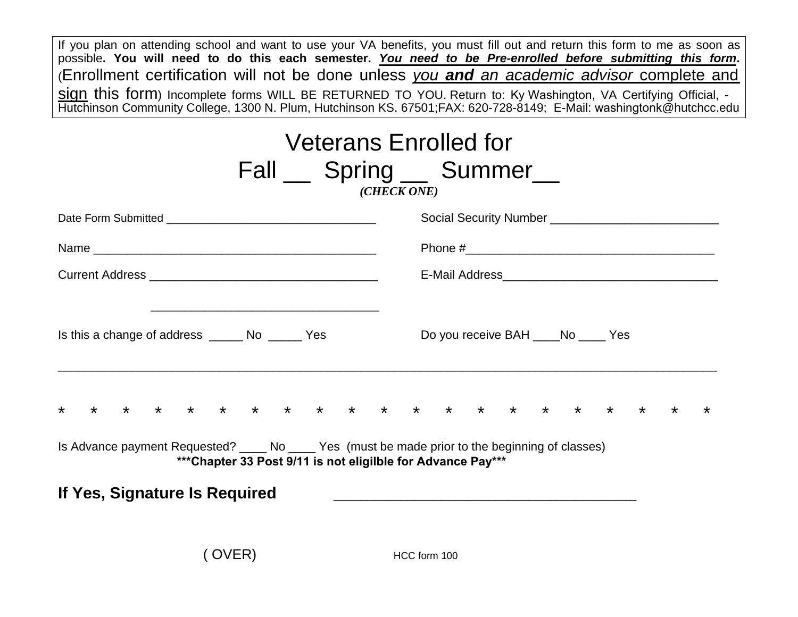If you plan on attending school and want to use your VA benefits, you must fill out and return this form to me as soon as possible. You will need to do this each semester. You need to be Pre-enrolled before submitting this form. (Enrollment certification will not be done unless *you and an academic advisor* complete and sign this form) Incomplete forms WILL BE RETURNED TO YOU. Return to: Ky Washington, VA Certifying Official, - Hutchinson Community College, 1300 N. Plum, Hutchinson KS. 67501;FAX: 620-728-8149; E-Mail: washingtonk@hutchcc.edu

| <b>Veterans Enrolled for</b><br>Fall Spring Summer<br>(CHECK ONE)                                                                                                 |                                                 |  |  |  |  |  |  |  |  |  |  |
|-------------------------------------------------------------------------------------------------------------------------------------------------------------------|-------------------------------------------------|--|--|--|--|--|--|--|--|--|--|
|                                                                                                                                                                   |                                                 |  |  |  |  |  |  |  |  |  |  |
|                                                                                                                                                                   |                                                 |  |  |  |  |  |  |  |  |  |  |
|                                                                                                                                                                   |                                                 |  |  |  |  |  |  |  |  |  |  |
| Is this a change of address _______ No _______ Yes<br>* * * * * * * * * * * * * *                                                                                 | Do you receive BAH _____ No _____ Yes<br>$\ast$ |  |  |  |  |  |  |  |  |  |  |
| Is Advance payment Requested? _____ No _____ Yes (must be made prior to the beginning of classes)<br>*** Chapter 33 Post 9/11 is not eligilble for Advance Pay*** |                                                 |  |  |  |  |  |  |  |  |  |  |
| If Yes, Signature Is Required                                                                                                                                     |                                                 |  |  |  |  |  |  |  |  |  |  |